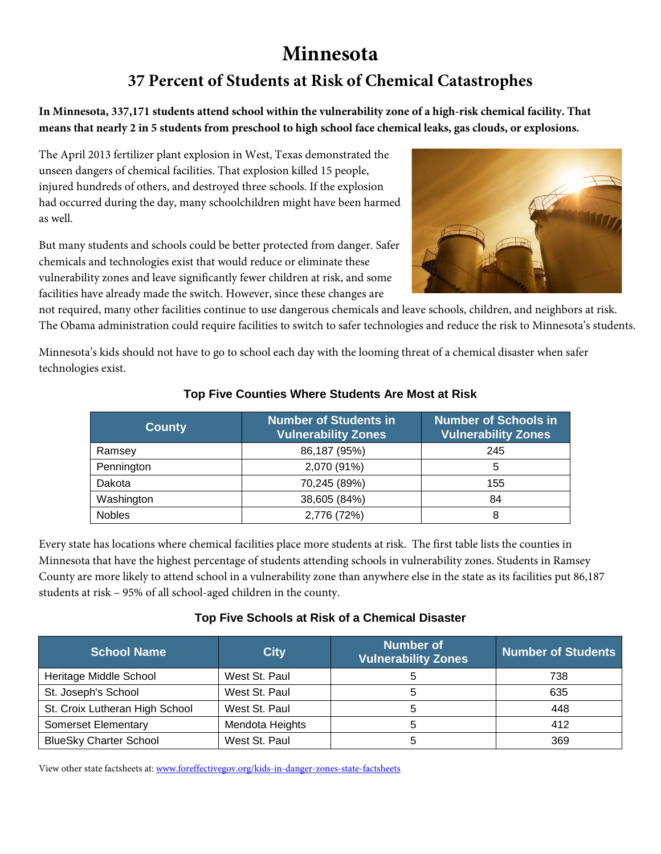# **Minnesota**

## **37 Percent of Students at Risk of Chemical Catastrophes**

**In Minnesota, 337,171 students attend school within the vulnerability zone of a high-risk chemical facility. That means that nearly 2 in 5 students from preschool to high school face chemical leaks, gas clouds, or explosions.**

The April 2013 fertilizer plant explosion in West, Texas demonstrated the unseen dangers of chemical facilities. That explosion killed 15 people, injured hundreds of others, and destroyed three schools. If the explosion had occurred during the day, many schoolchildren might have been harmed as well.

But many students and schools could be better protected from danger. Safer chemicals and technologies exist that would reduce or eliminate these vulnerability zones and leave significantly fewer children at risk, and some facilities have already made the switch. However, since these changes are



not required, many other facilities continue to use dangerous chemicals and leave schools, children, and neighbors at risk. The Obama administration could require facilities to switch to safer technologies and reduce the risk to Minnesota's students.

Minnesota's kids should not have to go to school each day with the looming threat of a chemical disaster when safer technologies exist.

| <b>County</b> | <b>Number of Students in</b><br><b>Vulnerability Zones</b> | <b>Number of Schools in</b><br><b>Vulnerability Zones</b> |  |
|---------------|------------------------------------------------------------|-----------------------------------------------------------|--|
| Ramsey        | 86,187 (95%)                                               | 245                                                       |  |
| Pennington    | 2,070 (91%)                                                | 5                                                         |  |
| Dakota        | 70,245 (89%)                                               | 155                                                       |  |
| Washington    | 38,605 (84%)                                               | 84                                                        |  |
| <b>Nobles</b> | 2,776 (72%)                                                | 8                                                         |  |

#### **Top Five Counties Where Students Are Most at Risk**

Every state has locations where chemical facilities place more students at risk. The first table lists the counties in Minnesota that have the highest percentage of students attending schools in vulnerability zones. Students in Ramsey County are more likely to attend school in a vulnerability zone than anywhere else in the state as its facilities put 86,187 students at risk – 95% of all school-aged children in the county.

#### **Top Five Schools at Risk of a Chemical Disaster**

| <b>School Name</b>             | <b>City</b>     | <b>Number of</b><br><b>Vulnerability Zones</b> | <b>Number of Students</b> |
|--------------------------------|-----------------|------------------------------------------------|---------------------------|
| Heritage Middle School         | West St. Paul   |                                                | 738                       |
| St. Joseph's School            | West St. Paul   | э                                              | 635                       |
| St. Croix Lutheran High School | West St. Paul   | 5                                              | 448                       |
| <b>Somerset Elementary</b>     | Mendota Heights |                                                | 412                       |
| <b>BlueSky Charter School</b>  | West St. Paul   |                                                | 369                       |

View other state factsheets at: [www.foreffectivegov.org/kids-in-danger-zones-state-factsheets](http://www.foreffectivegov.org/kids-in-danger-zones-state-factsheets)